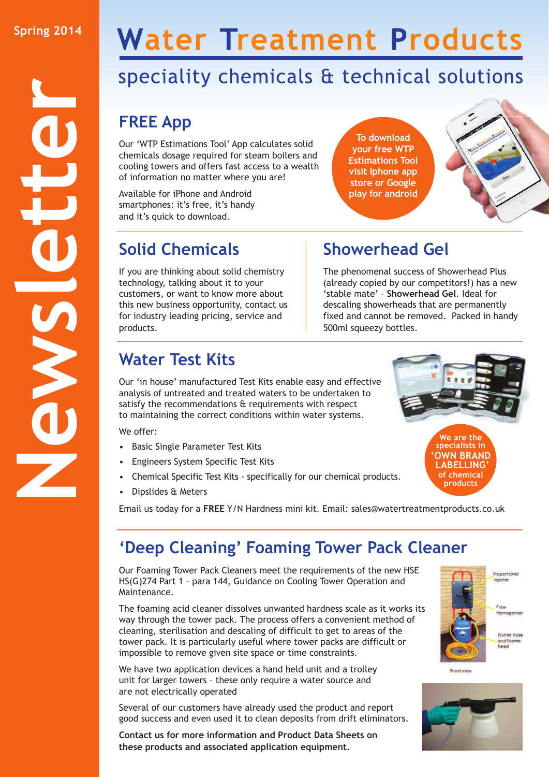# **Water Treatment Products**

## speciality chemicals & technical solutions

### **FREE App**

Our 'WTP Estimations Tool' App calculates solid chemicals dosage required for steam boilers and cooling towers and offers fast access to a wealth of information no matter where you are!

Available for iPhone and Android smartphones: it's free, it's handy and it's quick to download.

### **Solid Chemicals**

If you are thinking about solid chemistry technology, talking about it to your customers, or want to know more about this new business opportunity, contact us for industry leading pricing, service and products.

## **Showerhead Gel**

**To download your free WTP Estimations Tool visit Iphone app store or Google play for android**

The phenomenal success of Showerhead Plus (already copied by our competitors!) has a new 'stable mate' – **Showerhead Gel**. Ideal for descaling showerheads that are permanently fixed and cannot be removed. Packed in handy 500ml squeezy bottles.

#### **Water Test Kits**

Our 'in house' manufactured Test Kits enable easy and effective analysis of untreated and treated waters to be undertaken to satisfy the recommendations & requirements with respect to maintaining the correct conditions within water systems.

We offer:

- Basic Single Parameter Test Kits
- Engineers System Specific Test Kits
- Chemical Specific Test Kits specifically for our chemical products.
- Dipslides & Meters

Email us today for a **FREE** Y/N Hardness mini kit. Email: sales@watertreatmentproducts.co.uk

#### **'Deep Cleaning' Foaming Tower Pack Cleaner**

Our Foaming Tower Pack Cleaners meet the requirements of the new HSE HS(G)274 Part 1 – para 144, Guidance on Cooling Tower Operation and Maintenance.

The foaming acid cleaner dissolves unwanted hardness scale as it works its way through the tower pack. The process offers a convenient method of cleaning, sterilisation and descaling of difficult to get to areas of the tower pack. It is particularly useful where tower packs are difficult or impossible to remove given site space or time constraints.

We have two application devices a hand held unit and a trolley unit for larger towers – these only require a water source and are not electrically operated

Several of our customers have already used the product and report good success and even used it to clean deposits from drift eliminators.

**Contact us for more information and Product Data Sheets on these products and associated application equipment.**



**Front view**